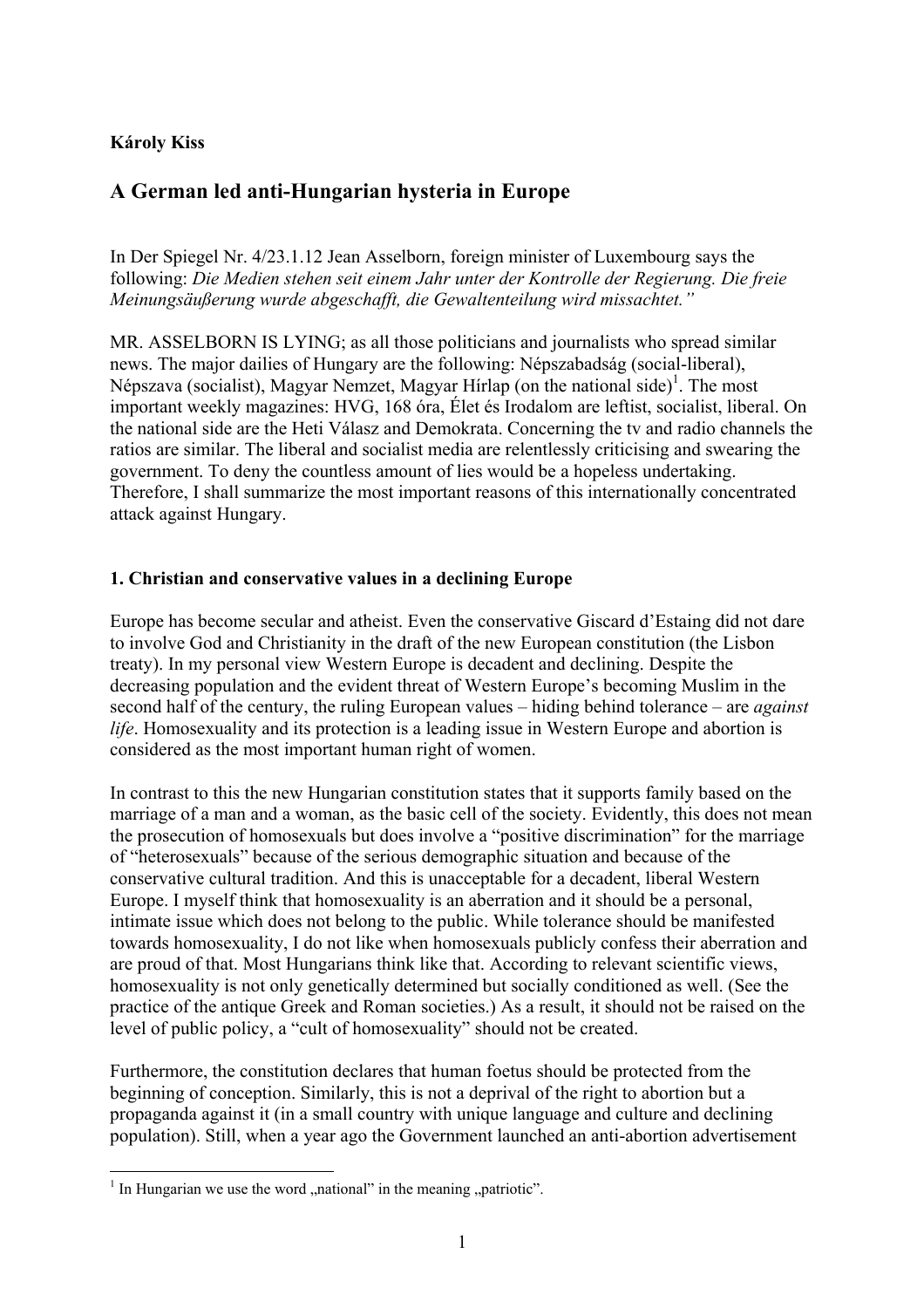### **Károly Kiss**

# **A German led anti-Hungarian hysteria in Europe**

In Der Spiegel Nr. 4/23.1.12 Jean Asselborn, foreign minister of Luxembourg says the following: *Die Medien stehen seit einem Jahr unter der Kontrolle der Regierung. Die freie Meinungsäußerung wurde abgeschafft, die Gewaltenteilung wird missachtet."*

MR. ASSELBORN IS LYING; as all those politicians and journalists who spread similar news. The major dailies of Hungary are the following: Népszabadság (social-liberal), Népszava (socialist), Magyar Nemzet, Magyar Hírlap (on the national side)<sup>1</sup>. The most important weekly magazines: HVG, 168 óra, Élet és Irodalom are leftist, socialist, liberal. On the national side are the Heti Válasz and Demokrata. Concerning the tv and radio channels the ratios are similar. The liberal and socialist media are relentlessly criticising and swearing the government. To deny the countless amount of lies would be a hopeless undertaking. Therefore, I shall summarize the most important reasons of this internationally concentrated attack against Hungary.

#### **1. Christian and conservative values in a declining Europe**

Europe has become secular and atheist. Even the conservative Giscard d'Estaing did not dare to involve God and Christianity in the draft of the new European constitution (the Lisbon treaty). In my personal view Western Europe is decadent and declining. Despite the decreasing population and the evident threat of Western Europe's becoming Muslim in the second half of the century, the ruling European values – hiding behind tolerance – are *against life*. Homosexuality and its protection is a leading issue in Western Europe and abortion is considered as the most important human right of women.

In contrast to this the new Hungarian constitution states that it supports family based on the marriage of a man and a woman, as the basic cell of the society. Evidently, this does not mean the prosecution of homosexuals but does involve a "positive discrimination" for the marriage of "heterosexuals" because of the serious demographic situation and because of the conservative cultural tradition. And this is unacceptable for a decadent, liberal Western Europe. I myself think that homosexuality is an aberration and it should be a personal, intimate issue which does not belong to the public. While tolerance should be manifested towards homosexuality, I do not like when homosexuals publicly confess their aberration and are proud of that. Most Hungarians think like that. According to relevant scientific views, homosexuality is not only genetically determined but socially conditioned as well. (See the practice of the antique Greek and Roman societies.) As a result, it should not be raised on the level of public policy, a "cult of homosexuality" should not be created.

Furthermore, the constitution declares that human foetus should be protected from the beginning of conception. Similarly, this is not a deprival of the right to abortion but a propaganda against it (in a small country with unique language and culture and declining population). Still, when a year ago the Government launched an anti-abortion advertisement

 $\frac{1}{1}$  In Hungarian we use the word "national" in the meaning "patriotic".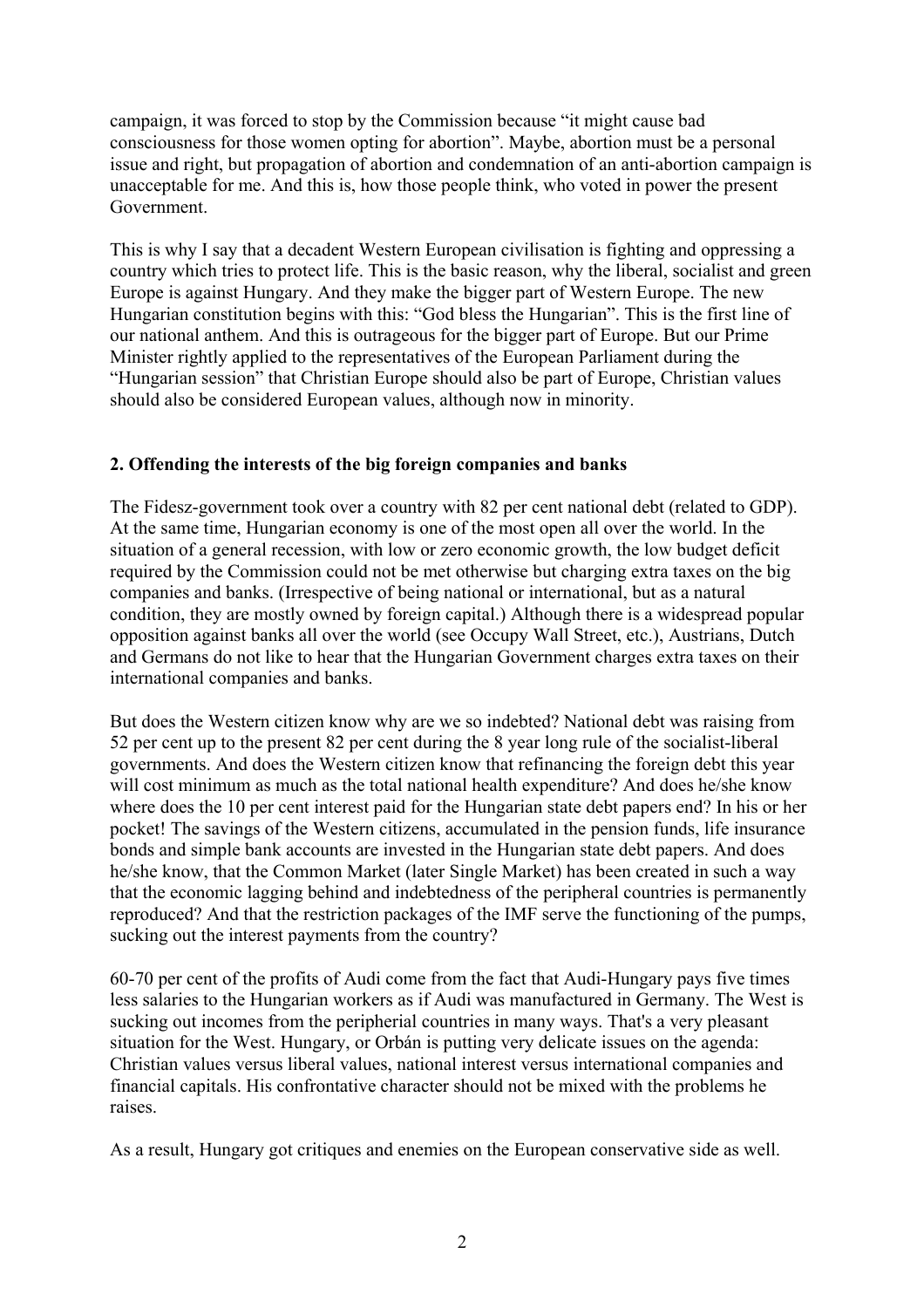campaign, it was forced to stop by the Commission because "it might cause bad consciousness for those women opting for abortion". Maybe, abortion must be a personal issue and right, but propagation of abortion and condemnation of an anti-abortion campaign is unacceptable for me. And this is, how those people think, who voted in power the present Government.

This is why I say that a decadent Western European civilisation is fighting and oppressing a country which tries to protect life. This is the basic reason, why the liberal, socialist and green Europe is against Hungary. And they make the bigger part of Western Europe. The new Hungarian constitution begins with this: "God bless the Hungarian". This is the first line of our national anthem. And this is outrageous for the bigger part of Europe. But our Prime Minister rightly applied to the representatives of the European Parliament during the "Hungarian session" that Christian Europe should also be part of Europe, Christian values should also be considered European values, although now in minority.

# **2. Offending the interests of the big foreign companies and banks**

The Fidesz-government took over a country with 82 per cent national debt (related to GDP). At the same time, Hungarian economy is one of the most open all over the world. In the situation of a general recession, with low or zero economic growth, the low budget deficit required by the Commission could not be met otherwise but charging extra taxes on the big companies and banks. (Irrespective of being national or international, but as a natural condition, they are mostly owned by foreign capital.) Although there is a widespread popular opposition against banks all over the world (see Occupy Wall Street, etc.), Austrians, Dutch and Germans do not like to hear that the Hungarian Government charges extra taxes on their international companies and banks.

But does the Western citizen know why are we so indebted? National debt was raising from 52 per cent up to the present 82 per cent during the 8 year long rule of the socialist-liberal governments. And does the Western citizen know that refinancing the foreign debt this year will cost minimum as much as the total national health expenditure? And does he/she know where does the 10 per cent interest paid for the Hungarian state debt papers end? In his or her pocket! The savings of the Western citizens, accumulated in the pension funds, life insurance bonds and simple bank accounts are invested in the Hungarian state debt papers. And does he/she know, that the Common Market (later Single Market) has been created in such a way that the economic lagging behind and indebtedness of the peripheral countries is permanently reproduced? And that the restriction packages of the IMF serve the functioning of the pumps, sucking out the interest payments from the country?

60-70 per cent of the profits of Audi come from the fact that Audi-Hungary pays five times less salaries to the Hungarian workers as if Audi was manufactured in Germany. The West is sucking out incomes from the peripherial countries in many ways. That's a very pleasant situation for the West. Hungary, or Orbán is putting very delicate issues on the agenda: Christian values versus liberal values, national interest versus international companies and financial capitals. His confrontative character should not be mixed with the problems he raises.

As a result, Hungary got critiques and enemies on the European conservative side as well.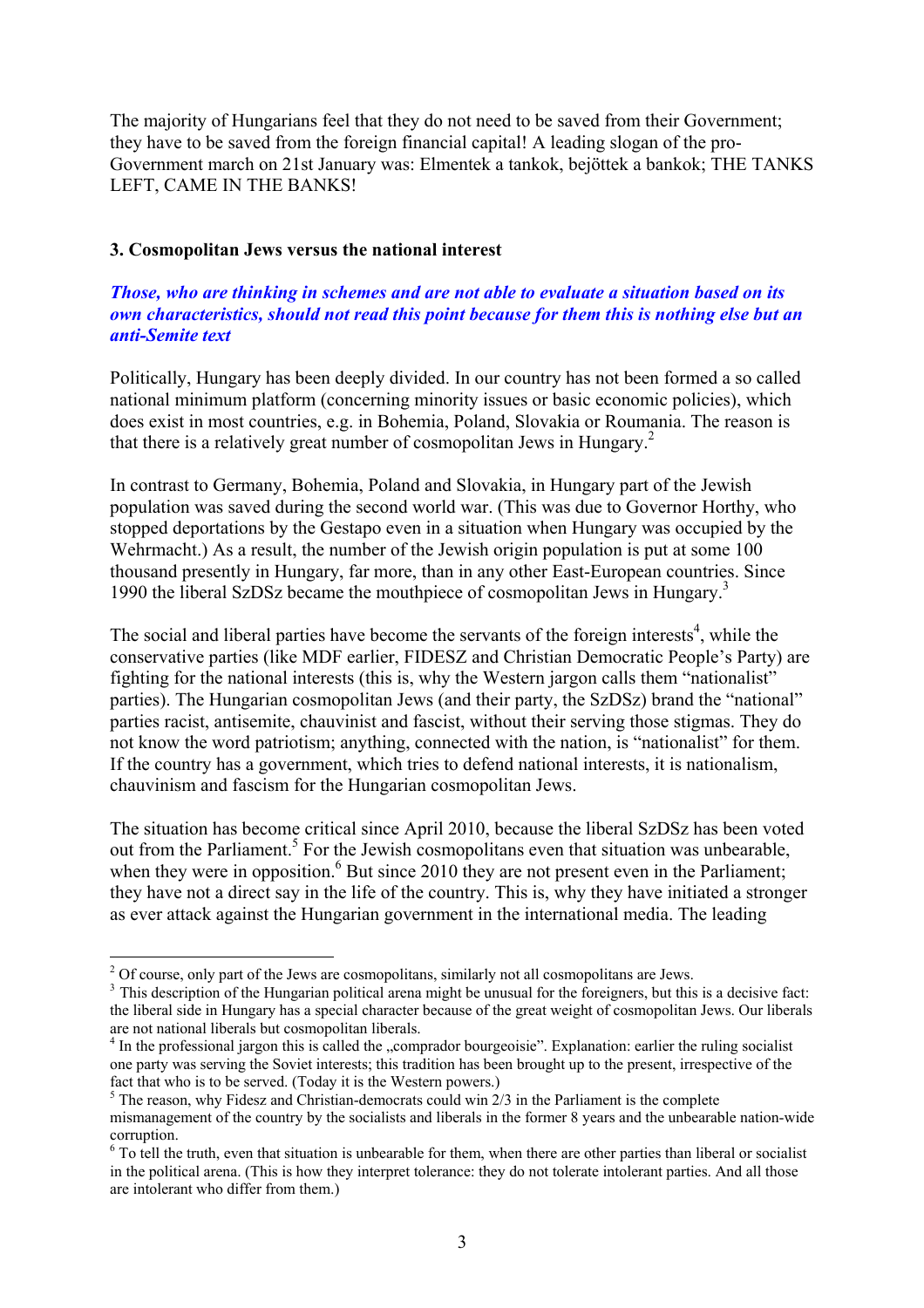The majority of Hungarians feel that they do not need to be saved from their Government; they have to be saved from the foreign financial capital! A leading slogan of the pro-Government march on 21st January was: Elmentek a tankok, bejöttek a bankok; THE TANKS LEFT, CAME IN THE BANKS!

#### **3. Cosmopolitan Jews versus the national interest**

#### *Those, who are thinking in schemes and are not able to evaluate a situation based on its own characteristics, should not read this point because for them this is nothing else but an anti-Semite text*

Politically, Hungary has been deeply divided. In our country has not been formed a so called national minimum platform (concerning minority issues or basic economic policies), which does exist in most countries, e.g. in Bohemia, Poland, Slovakia or Roumania. The reason is that there is a relatively great number of cosmopolitan Jews in Hungary.<sup>2</sup>

In contrast to Germany, Bohemia, Poland and Slovakia, in Hungary part of the Jewish population was saved during the second world war. (This was due to Governor Horthy, who stopped deportations by the Gestapo even in a situation when Hungary was occupied by the Wehrmacht.) As a result, the number of the Jewish origin population is put at some 100 thousand presently in Hungary, far more, than in any other East-European countries. Since 1990 the liberal SzDSz became the mouthpiece of cosmopolitan Jews in Hungary.3

The social and liberal parties have become the servants of the foreign interests<sup>4</sup>, while the conservative parties (like MDF earlier, FIDESZ and Christian Democratic People's Party) are fighting for the national interests (this is, why the Western jargon calls them "nationalist" parties). The Hungarian cosmopolitan Jews (and their party, the SzDSz) brand the "national" parties racist, antisemite, chauvinist and fascist, without their serving those stigmas. They do not know the word patriotism; anything, connected with the nation, is "nationalist" for them. If the country has a government, which tries to defend national interests, it is nationalism, chauvinism and fascism for the Hungarian cosmopolitan Jews.

The situation has become critical since April 2010, because the liberal SzDSz has been voted out from the Parliament.<sup>5</sup> For the Jewish cosmopolitans even that situation was unbearable, when they were in opposition.<sup>6</sup> But since 2010 they are not present even in the Parliament; they have not a direct say in the life of the country. This is, why they have initiated a stronger as ever attack against the Hungarian government in the international media. The leading

1

 $2^{\circ}$  Of course, only part of the Jews are cosmopolitans, similarly not all cosmopolitans are Jews.

<sup>&</sup>lt;sup>3</sup> This description of the Hungarian political arena might be unusual for the foreigners, but this is a decisive fact: the liberal side in Hungary has a special character because of the great weight of cosmopolitan Jews. Our liberals are not national liberals but cosmopolitan liberals.

<sup>&</sup>lt;sup>4</sup> In the professional jargon this is called the "comprador bourgeoisie". Explanation: earlier the ruling socialist one party was serving the Soviet interests; this tradition has been brought up to the present, irrespective of the fact that who is to be served. (Today it is the Western powers.)

 $<sup>5</sup>$  The reason, why Fidesz and Christian-democrats could win 2/3 in the Parliament is the complete</sup> mismanagement of the country by the socialists and liberals in the former 8 years and the unbearable nation-wide corruption.

<sup>&</sup>lt;sup>6</sup> To tell the truth, even that situation is unbearable for them, when there are other parties than liberal or socialist in the political arena. (This is how they interpret tolerance: they do not tolerate intolerant parties. And all those are intolerant who differ from them.)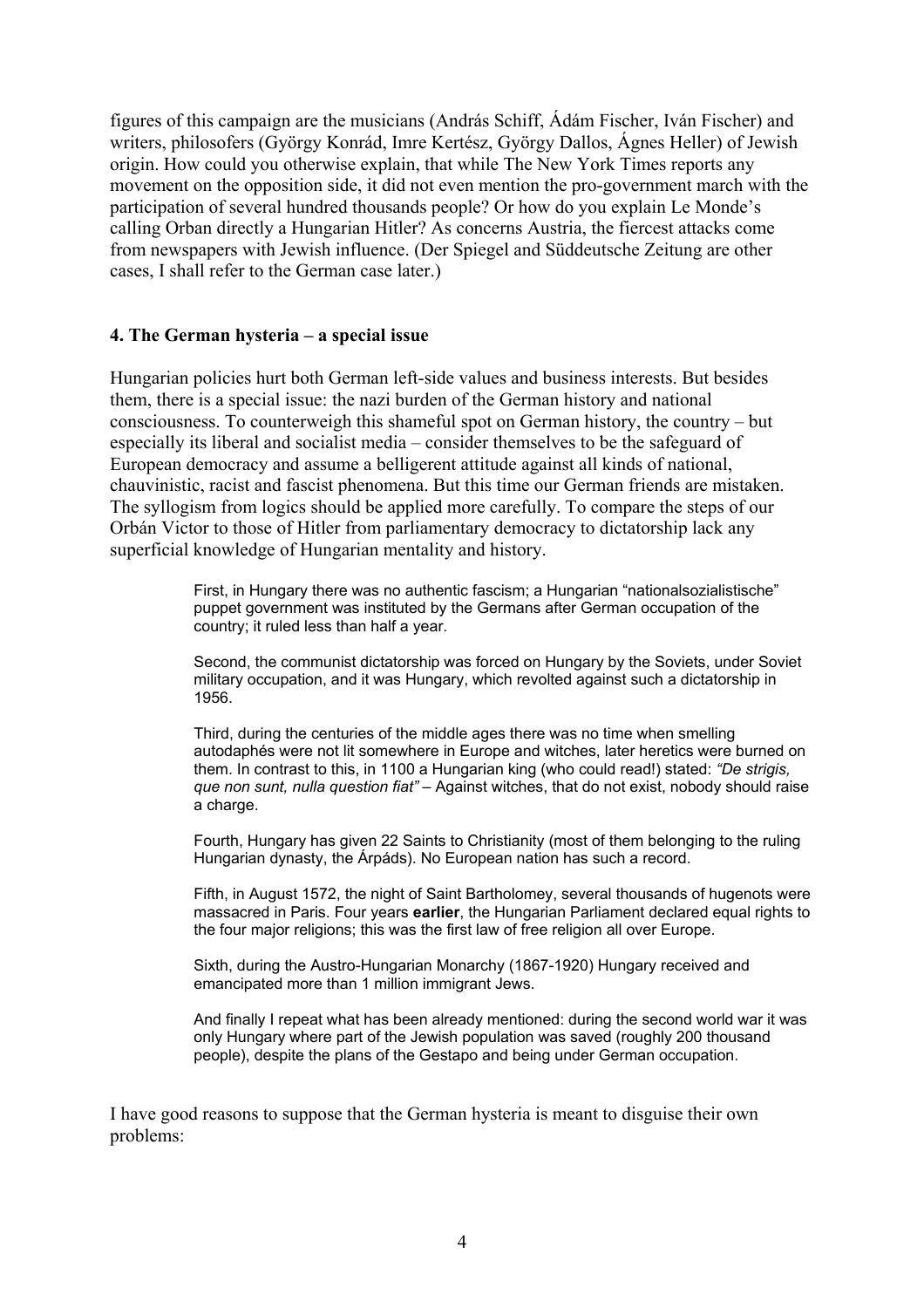figures of this campaign are the musicians (András Schiff, Ádám Fischer, Iván Fischer) and writers, philosofers (György Konrád, Imre Kertész, György Dallos, Ágnes Heller) of Jewish origin. How could you otherwise explain, that while The New York Times reports any movement on the opposition side, it did not even mention the pro-government march with the participation of several hundred thousands people? Or how do you explain Le Monde's calling Orban directly a Hungarian Hitler? As concerns Austria, the fiercest attacks come from newspapers with Jewish influence. (Der Spiegel and Süddeutsche Zeitung are other cases, I shall refer to the German case later.)

#### **4. The German hysteria – a special issue**

Hungarian policies hurt both German left-side values and business interests. But besides them, there is a special issue: the nazi burden of the German history and national consciousness. To counterweigh this shameful spot on German history, the country – but especially its liberal and socialist media – consider themselves to be the safeguard of European democracy and assume a belligerent attitude against all kinds of national, chauvinistic, racist and fascist phenomena. But this time our German friends are mistaken. The syllogism from logics should be applied more carefully. To compare the steps of our Orbán Victor to those of Hitler from parliamentary democracy to dictatorship lack any superficial knowledge of Hungarian mentality and history.

> First, in Hungary there was no authentic fascism; a Hungarian "nationalsozialistische" puppet government was instituted by the Germans after German occupation of the country; it ruled less than half a year.

Second, the communist dictatorship was forced on Hungary by the Soviets, under Soviet military occupation, and it was Hungary, which revolted against such a dictatorship in 1956.

Third, during the centuries of the middle ages there was no time when smelling autodaphés were not lit somewhere in Europe and witches, later heretics were burned on them. In contrast to this, in 1100 a Hungarian king (who could read!) stated: *"De strigis, que non sunt, nulla question fiat"* – Against witches, that do not exist, nobody should raise a charge.

Fourth, Hungary has given 22 Saints to Christianity (most of them belonging to the ruling Hungarian dynasty, the Árpáds). No European nation has such a record.

Fifth, in August 1572, the night of Saint Bartholomey, several thousands of hugenots were massacred in Paris. Four years **earlier**, the Hungarian Parliament declared equal rights to the four major religions; this was the first law of free religion all over Europe.

Sixth, during the Austro-Hungarian Monarchy (1867-1920) Hungary received and emancipated more than 1 million immigrant Jews.

And finally I repeat what has been already mentioned: during the second world war it was only Hungary where part of the Jewish population was saved (roughly 200 thousand people), despite the plans of the Gestapo and being under German occupation.

I have good reasons to suppose that the German hysteria is meant to disguise their own problems: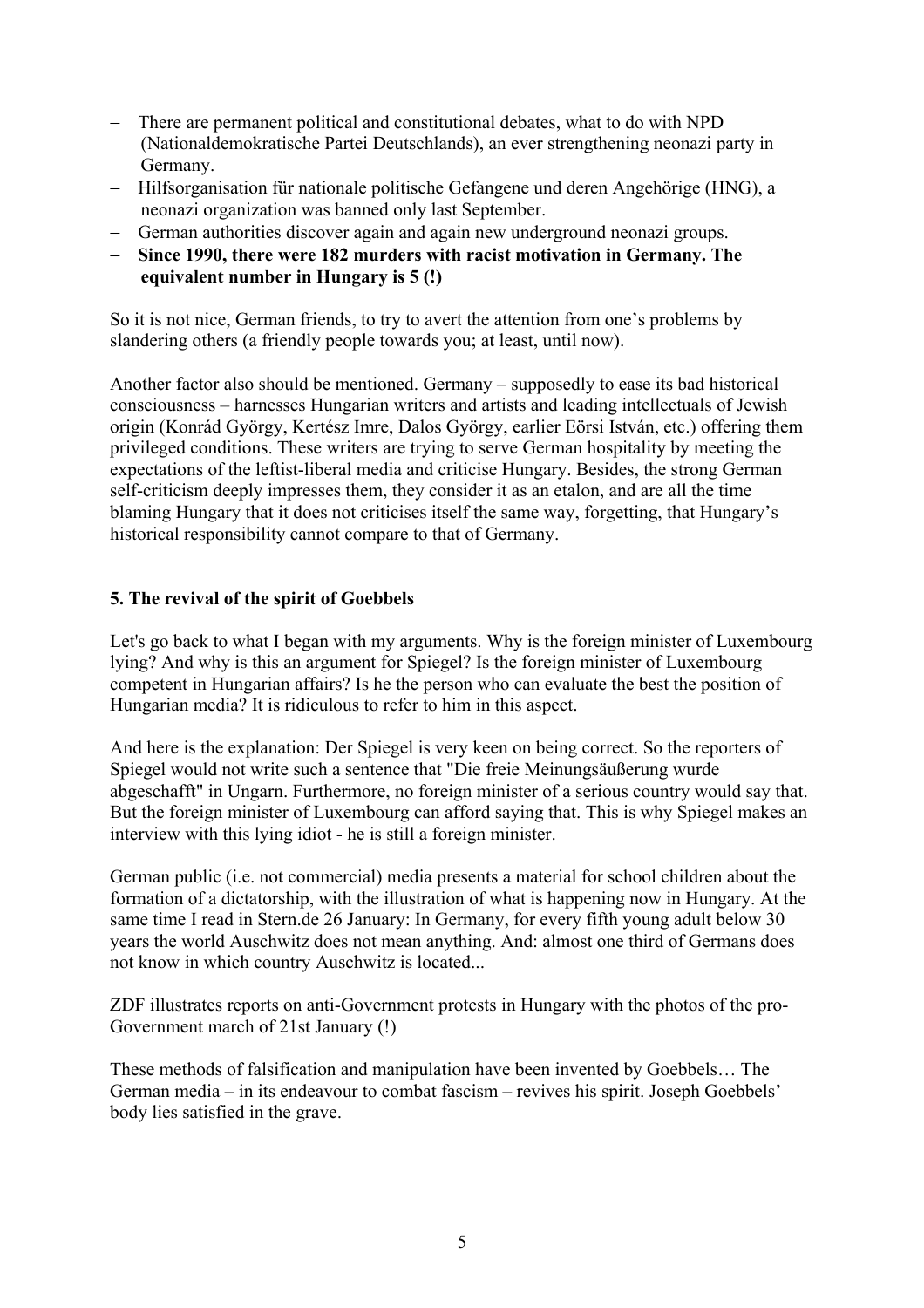- − There are permanent political and constitutional debates, what to do with NPD (Nationaldemokratische Partei Deutschlands), an ever strengthening neonazi party in Germany.
- − Hilfsorganisation für nationale politische Gefangene und deren Angehörige (HNG), a neonazi organization was banned only last September.
- − German authorities discover again and again new underground neonazi groups.
- Since 1990, there were 182 murders with racist motivation in Germany. The **equivalent number in Hungary is 5 (!)**

So it is not nice, German friends, to try to avert the attention from one's problems by slandering others (a friendly people towards you; at least, until now).

Another factor also should be mentioned. Germany – supposedly to ease its bad historical consciousness – harnesses Hungarian writers and artists and leading intellectuals of Jewish origin (Konrád György, Kertész Imre, Dalos György, earlier Eörsi István, etc.) offering them privileged conditions. These writers are trying to serve German hospitality by meeting the expectations of the leftist-liberal media and criticise Hungary. Besides, the strong German self-criticism deeply impresses them, they consider it as an etalon, and are all the time blaming Hungary that it does not criticises itself the same way, forgetting, that Hungary's historical responsibility cannot compare to that of Germany.

# **5. The revival of the spirit of Goebbels**

Let's go back to what I began with my arguments. Why is the foreign minister of Luxembourg lying? And why is this an argument for Spiegel? Is the foreign minister of Luxembourg competent in Hungarian affairs? Is he the person who can evaluate the best the position of Hungarian media? It is ridiculous to refer to him in this aspect.

And here is the explanation: Der Spiegel is very keen on being correct. So the reporters of Spiegel would not write such a sentence that "Die freie Meinungsäußerung wurde abgeschafft" in Ungarn. Furthermore, no foreign minister of a serious country would say that. But the foreign minister of Luxembourg can afford saying that. This is why Spiegel makes an interview with this lying idiot - he is still a foreign minister.

German public (i.e. not commercial) media presents a material for school children about the formation of a dictatorship, with the illustration of what is happening now in Hungary. At the same time I read in Stern.de 26 January: In Germany, for every fifth young adult below 30 years the world Auschwitz does not mean anything. And: almost one third of Germans does not know in which country Auschwitz is located...

ZDF illustrates reports on anti-Government protests in Hungary with the photos of the pro-Government march of 21st January (!)

These methods of falsification and manipulation have been invented by Goebbels… The German media – in its endeavour to combat fascism – revives his spirit. Joseph Goebbels' body lies satisfied in the grave.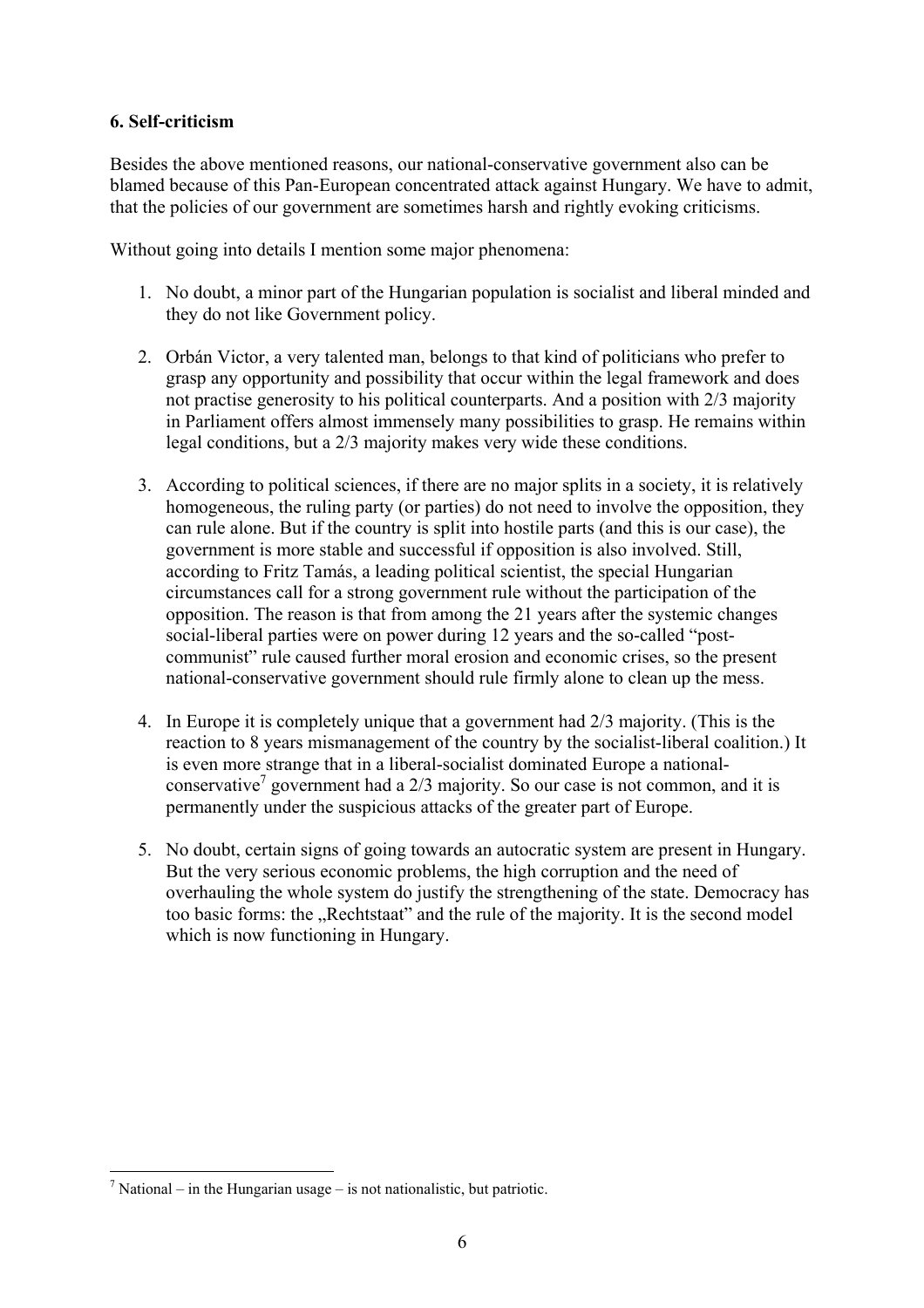### **6. Self-criticism**

Besides the above mentioned reasons, our national-conservative government also can be blamed because of this Pan-European concentrated attack against Hungary. We have to admit, that the policies of our government are sometimes harsh and rightly evoking criticisms.

Without going into details I mention some major phenomena:

- 1. No doubt, a minor part of the Hungarian population is socialist and liberal minded and they do not like Government policy.
- 2. Orbán Victor, a very talented man, belongs to that kind of politicians who prefer to grasp any opportunity and possibility that occur within the legal framework and does not practise generosity to his political counterparts. And a position with 2/3 majority in Parliament offers almost immensely many possibilities to grasp. He remains within legal conditions, but a 2/3 majority makes very wide these conditions.
- 3. According to political sciences, if there are no major splits in a society, it is relatively homogeneous, the ruling party (or parties) do not need to involve the opposition, they can rule alone. But if the country is split into hostile parts (and this is our case), the government is more stable and successful if opposition is also involved. Still, according to Fritz Tamás, a leading political scientist, the special Hungarian circumstances call for a strong government rule without the participation of the opposition. The reason is that from among the 21 years after the systemic changes social-liberal parties were on power during 12 years and the so-called "postcommunist" rule caused further moral erosion and economic crises, so the present national-conservative government should rule firmly alone to clean up the mess.
- 4. In Europe it is completely unique that a government had 2/3 majority. (This is the reaction to 8 years mismanagement of the country by the socialist-liberal coalition.) It is even more strange that in a liberal-socialist dominated Europe a nationalconservative<sup>7</sup> government had a  $2/3$  majority. So our case is not common, and it is permanently under the suspicious attacks of the greater part of Europe.
- 5. No doubt, certain signs of going towards an autocratic system are present in Hungary. But the very serious economic problems, the high corruption and the need of overhauling the whole system do justify the strengthening of the state. Democracy has too basic forms: the "Rechtstaat" and the rule of the majority. It is the second model which is now functioning in Hungary.

1

<sup>&</sup>lt;sup>7</sup> National – in the Hungarian usage – is not nationalistic, but patriotic.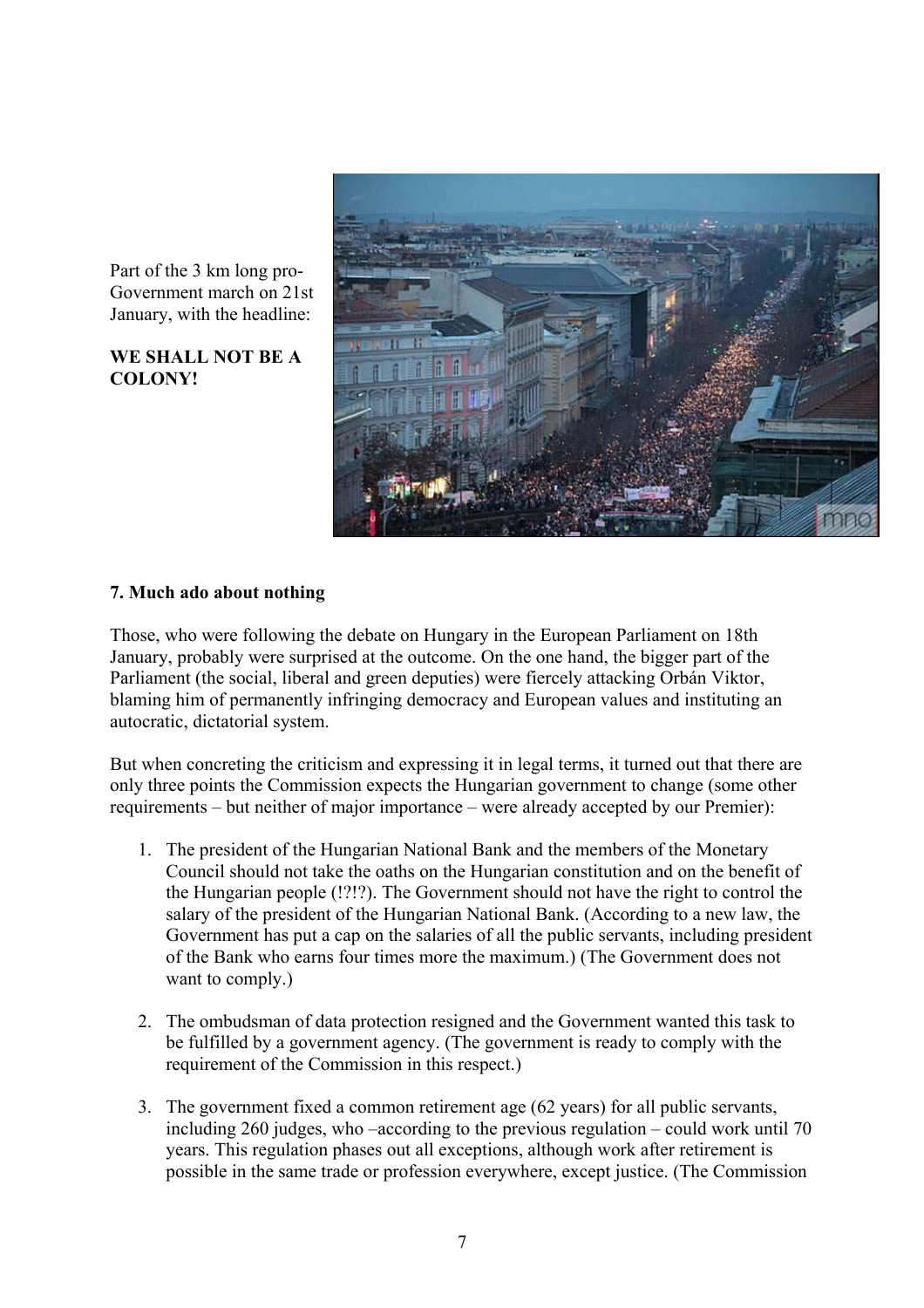Part of the 3 km long pro-Government march on 21st January, with the headline:

**WE SHALL NOT BE A COLONY!** 



#### **7. Much ado about nothing**

Those, who were following the debate on Hungary in the European Parliament on 18th January, probably were surprised at the outcome. On the one hand, the bigger part of the Parliament (the social, liberal and green deputies) were fiercely attacking Orbán Viktor, blaming him of permanently infringing democracy and European values and instituting an autocratic, dictatorial system.

But when concreting the criticism and expressing it in legal terms, it turned out that there are only three points the Commission expects the Hungarian government to change (some other requirements – but neither of major importance – were already accepted by our Premier):

- 1. The president of the Hungarian National Bank and the members of the Monetary Council should not take the oaths on the Hungarian constitution and on the benefit of the Hungarian people (!?!?). The Government should not have the right to control the salary of the president of the Hungarian National Bank. (According to a new law, the Government has put a cap on the salaries of all the public servants, including president of the Bank who earns four times more the maximum.) (The Government does not want to comply.)
- 2. The ombudsman of data protection resigned and the Government wanted this task to be fulfilled by a government agency. (The government is ready to comply with the requirement of the Commission in this respect.)
- 3. The government fixed a common retirement age (62 years) for all public servants, including 260 judges, who –according to the previous regulation – could work until 70 years. This regulation phases out all exceptions, although work after retirement is possible in the same trade or profession everywhere, except justice. (The Commission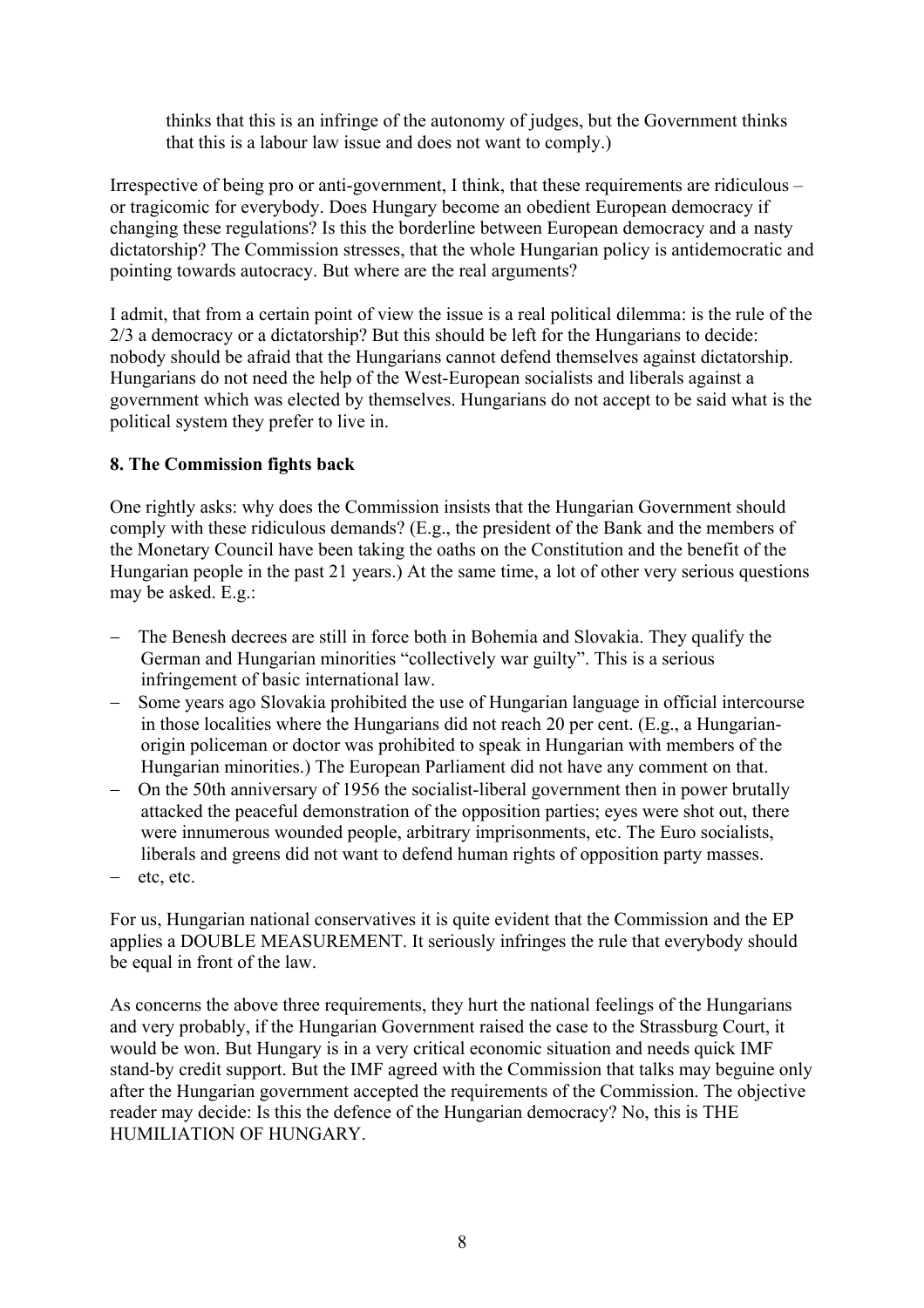thinks that this is an infringe of the autonomy of judges, but the Government thinks that this is a labour law issue and does not want to comply.)

Irrespective of being pro or anti-government, I think, that these requirements are ridiculous – or tragicomic for everybody. Does Hungary become an obedient European democracy if changing these regulations? Is this the borderline between European democracy and a nasty dictatorship? The Commission stresses, that the whole Hungarian policy is antidemocratic and pointing towards autocracy. But where are the real arguments?

I admit, that from a certain point of view the issue is a real political dilemma: is the rule of the 2/3 a democracy or a dictatorship? But this should be left for the Hungarians to decide: nobody should be afraid that the Hungarians cannot defend themselves against dictatorship. Hungarians do not need the help of the West-European socialists and liberals against a government which was elected by themselves. Hungarians do not accept to be said what is the political system they prefer to live in.

# **8. The Commission fights back**

One rightly asks: why does the Commission insists that the Hungarian Government should comply with these ridiculous demands? (E.g., the president of the Bank and the members of the Monetary Council have been taking the oaths on the Constitution and the benefit of the Hungarian people in the past 21 years.) At the same time, a lot of other very serious questions may be asked. E.g.:

- − The Benesh decrees are still in force both in Bohemia and Slovakia. They qualify the German and Hungarian minorities "collectively war guilty". This is a serious infringement of basic international law.
- − Some years ago Slovakia prohibited the use of Hungarian language in official intercourse in those localities where the Hungarians did not reach 20 per cent. (E.g., a Hungarianorigin policeman or doctor was prohibited to speak in Hungarian with members of the Hungarian minorities.) The European Parliament did not have any comment on that.
- − On the 50th anniversary of 1956 the socialist-liberal government then in power brutally attacked the peaceful demonstration of the opposition parties; eyes were shot out, there were innumerous wounded people, arbitrary imprisonments, etc. The Euro socialists, liberals and greens did not want to defend human rights of opposition party masses.
- − etc, etc.

For us, Hungarian national conservatives it is quite evident that the Commission and the EP applies a DOUBLE MEASUREMENT. It seriously infringes the rule that everybody should be equal in front of the law.

As concerns the above three requirements, they hurt the national feelings of the Hungarians and very probably, if the Hungarian Government raised the case to the Strassburg Court, it would be won. But Hungary is in a very critical economic situation and needs quick IMF stand-by credit support. But the IMF agreed with the Commission that talks may beguine only after the Hungarian government accepted the requirements of the Commission. The objective reader may decide: Is this the defence of the Hungarian democracy? No, this is THE HUMILIATION OF HUNGARY.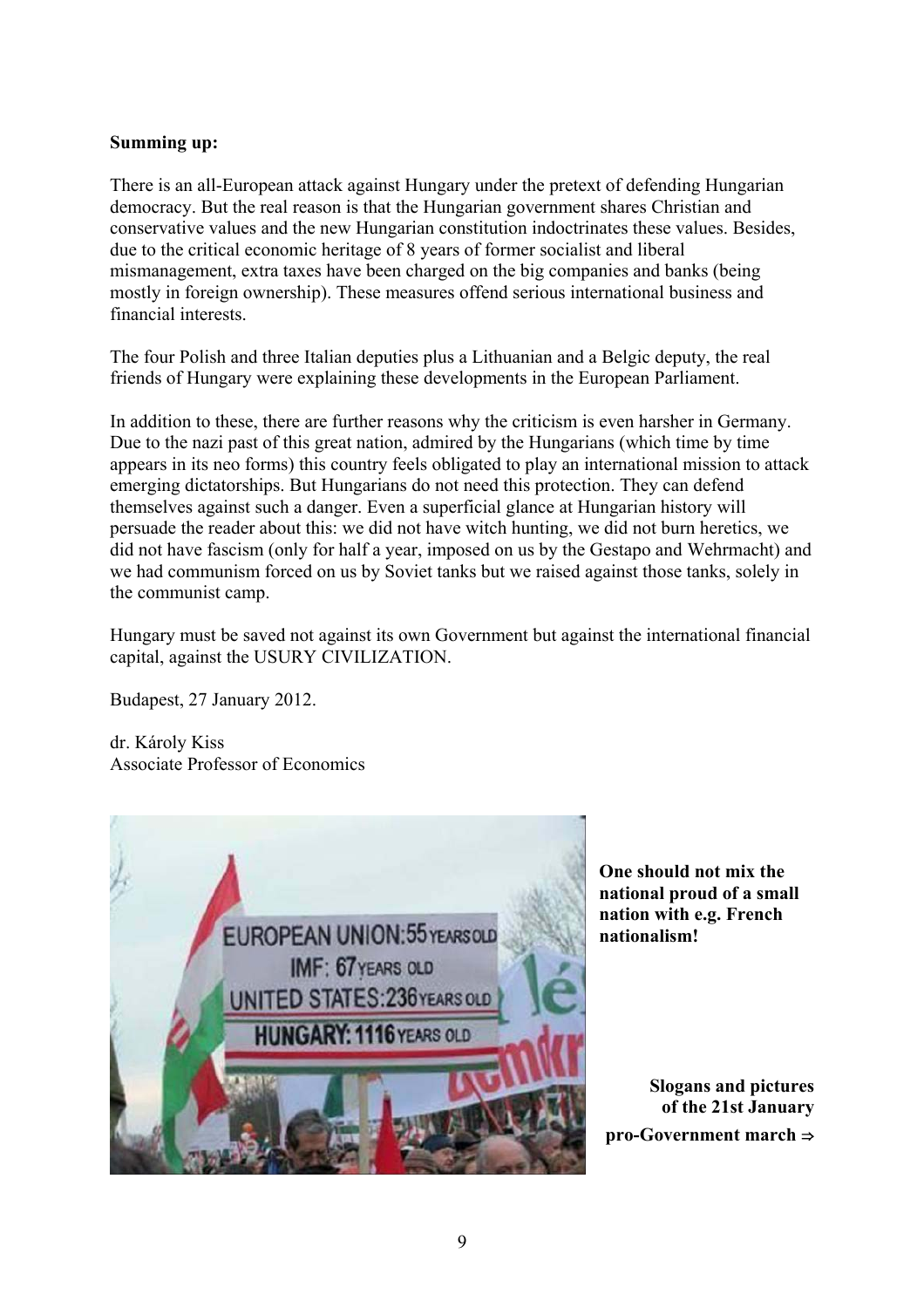#### **Summing up:**

There is an all-European attack against Hungary under the pretext of defending Hungarian democracy. But the real reason is that the Hungarian government shares Christian and conservative values and the new Hungarian constitution indoctrinates these values. Besides, due to the critical economic heritage of 8 years of former socialist and liberal mismanagement, extra taxes have been charged on the big companies and banks (being mostly in foreign ownership). These measures offend serious international business and financial interests.

The four Polish and three Italian deputies plus a Lithuanian and a Belgic deputy, the real friends of Hungary were explaining these developments in the European Parliament.

In addition to these, there are further reasons why the criticism is even harsher in Germany. Due to the nazi past of this great nation, admired by the Hungarians (which time by time appears in its neo forms) this country feels obligated to play an international mission to attack emerging dictatorships. But Hungarians do not need this protection. They can defend themselves against such a danger. Even a superficial glance at Hungarian history will persuade the reader about this: we did not have witch hunting, we did not burn heretics, we did not have fascism (only for half a year, imposed on us by the Gestapo and Wehrmacht) and we had communism forced on us by Soviet tanks but we raised against those tanks, solely in the communist camp.

Hungary must be saved not against its own Government but against the international financial capital, against the USURY CIVILIZATION.

Budapest, 27 January 2012.

dr. Károly Kiss Associate Professor of Economics



**One should not mix the national proud of a small nation with e.g. French nationalism!** 

**Slogans and pictures of the 21st January pro-Government march** ⇒